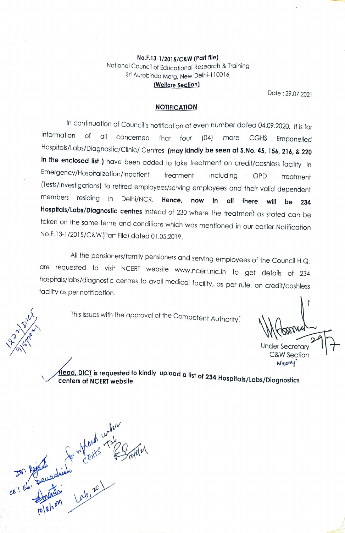## No.F.13-1/2015/C&W (Pat file) Nafional Council of Educational Research & Training Sri Aurobindo Marg, New Delhi-110016 (Welfare Section)<br>
Date: 29.07.2021

## **NOTIFICATION**

In continuation of Council's notification of even number dated 04.09.2020, it is for<br>information of all concerned that four  $(0.4)$  more CCHS. Expressed that of all concerned that four (04) more CGHS Empanelled Hospitals/Labs/Diagnostic/Clinic/ Centres (may kindly be seen at S.No. 45, 156, 216, & 220 in the enclosed list ) have been added to take treatment on credit/cashless facility in Emergency/Hospitalization/Inpatient treatment including OPD treatment (Tests/Investigations) to retired employees/serving employees and their valid dependent<br>members residing in Delhi/NCR. Hence, now in all there will be 234 Hospitals/Labs/Diagnostic centres instead of 230 where the treatment as stated can be faken on the same terms and conditions which was mentioned in our earlier Notification No.F.13-1/2015/C&W[Part File) dated 01.05.2019.

All the pensioners/family pensioners and serving employees of the Council H.Q.<br>are requested to visit NCERT website www.ncert.nic.in to get details of 234 hospitals/labs/diagnostic centres to avail medical facility, as per rule, on credit/cashless facility as per notification.

This issues with the approval of the Competent Authority.

Under Secretary C&W Section Nee

 $\sqrt{\frac{H\text{ead, DICI}}{H\text{ead, C}}}\;$  is requested to kindly upload a list of 234 Hospitals/Labs/Diagnostics

 $\mathbb{R}^N$ Lough Tab Dr. 1990 peur  $\langle \cdot \rangle$ 

 $\mathcal{L}_{1}$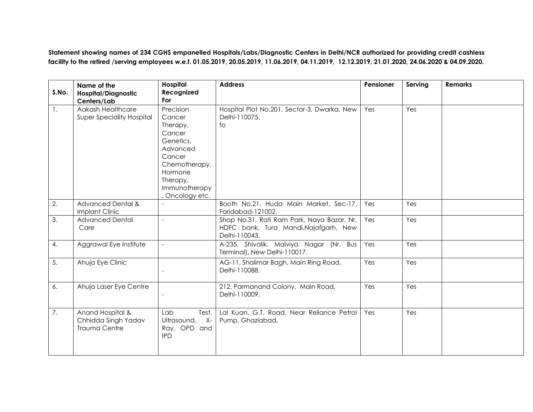**Statement showing names of 234 CGHS empanelled Hospitals/Labs/Diagnostic Centers in Delhi/NCR authorized for providing credit cashless facility to the retired /serving employees w.e.f. 01.05.2019, 20.05.2019, 11.06.2019, 04.11.2019, 12.12.2019, 21.01.2020, 24.06.2020 & 04.09.2020.**

| S.No.          | Name of the<br><b>Hospital/Diagnostic</b><br>Centers/Lab        | Hospital<br>Recognized<br>For                                                                                                                          | <b>Address</b>                                                                                       | Pensioner | Serving | <b>Remarks</b> |
|----------------|-----------------------------------------------------------------|--------------------------------------------------------------------------------------------------------------------------------------------------------|------------------------------------------------------------------------------------------------------|-----------|---------|----------------|
| $\mathbf{1}$ . | Aakash Healthcare<br><b>Super Speciality Hospital</b>           | Precision<br>Cancer<br>Therapy,<br>Cancer<br>Genetics,<br>Advanced<br>Cancer<br>Chemotherapy,<br>Hormone<br>Therapy,<br>Immunotherapy<br>Oncology etc. | Hospital Plot No.201, Sector-3, Dwarka, New<br>Delhi-110075.<br>fo                                   | Yes       | Yes     |                |
| 2.             | <b>Advanced Dental &amp;</b><br>Implant Clinic                  |                                                                                                                                                        | Booth No.21, Huda Main Market, Sec-17,<br>Faridabad-121002.                                          | Yes       | Yes     |                |
| 3.             | <b>Advanced Dental</b><br>Care                                  |                                                                                                                                                        | Shop No.31, Rati Ram Park, Naya Bazar, Nr.<br>HDFC bank, Tura Mandi, Najafgarh, New<br>Delhi-110043. | Yes       | Yes     |                |
| 4.             | Aggrawal Eye Institute                                          | $\sim$                                                                                                                                                 | A-235, Shivalik, Malviya Nagar (Nr. Bus<br>Terminal), New Delhi-110017.                              | Yes       | Yes     |                |
| 5.             | Ahuja Eye Clinic                                                |                                                                                                                                                        | AG-11, Shalimar Bagh, Main Ring Road,<br>Delhi-110088.                                               | Yes       | Yes     |                |
| 6.             | Ahuja Laser Eye Centre                                          |                                                                                                                                                        | 212, Parmanand Colony, Main Road,<br>Delhi-110009.                                                   | Yes       | Yes     |                |
| 7.             | Anand Hospital &<br>Chhidda Singh Yadav<br><b>Trauma Centre</b> | Test,<br>Lab<br>Ultrasound,<br>$X-$<br>Ray, OPD and<br><b>IPD</b>                                                                                      | Lal Kuan, G.T. Road, Near Reliance Petrol<br>Pump, Ghaziabad.                                        | Yes       | Yes     |                |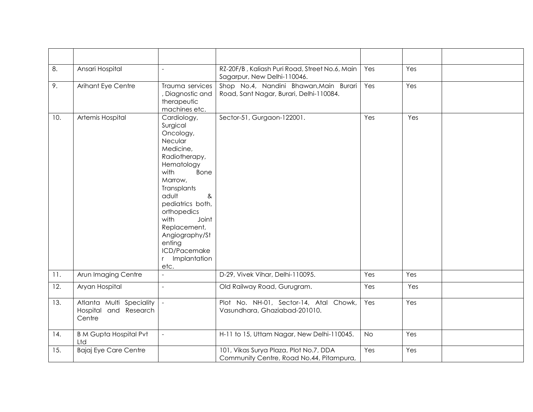| 8.  | Ansari Hospital                                             | $\overline{a}$                                                                                                                                                                                                                                                                                   | RZ-20F/B, Kaliash Puri Road, Street No.6, Main<br>Sagarpur, New Delhi-110046.      | Yes       | Yes |  |
|-----|-------------------------------------------------------------|--------------------------------------------------------------------------------------------------------------------------------------------------------------------------------------------------------------------------------------------------------------------------------------------------|------------------------------------------------------------------------------------|-----------|-----|--|
| 9.  | Arihant Eye Centre                                          | Trauma services<br>, Diagnostic and<br>therapeutic<br>machines etc.                                                                                                                                                                                                                              | Shop No.4, Nandini Bhawan, Main Burari<br>Road, Sant Nagar, Burari, Delhi-110084.  | Yes       | Yes |  |
| 10. | Artemis Hospital                                            | Cardiology,<br>Surgical<br>Oncology,<br>Necular<br>Medicine,<br>Radiotherapy,<br>Hematology<br>with<br>Bone<br>Marrow,<br>Transplants<br>adult<br>&<br>pediatrics both,<br>orthopedics<br>with<br>Joint<br>Replacement,<br>Angiography/St<br>enting<br>ICD/Pacemake<br>Implantation<br>r<br>etc. | Sector-51, Gurgaon-122001.                                                         | Yes       | Yes |  |
| 11. | Arun Imaging Centre                                         | $\overline{a}$                                                                                                                                                                                                                                                                                   | D-29, Vivek Vihar, Delhi-110095.                                                   | Yes       | Yes |  |
| 12. | Aryan Hospital                                              | $\equiv$                                                                                                                                                                                                                                                                                         | Old Railway Road, Gurugram.                                                        | Yes       | Yes |  |
| 13. | Atlanta Multi Speciality<br>Hospital and Research<br>Centre | $\sim$                                                                                                                                                                                                                                                                                           | Plot No. NH-01, Sector-14, Atal Chowk,<br>Vasundhara, Ghaziabad-201010.            | Yes       | Yes |  |
| 14. | <b>B M Gupta Hospital Pvt</b><br>Ltd                        | $\sim$                                                                                                                                                                                                                                                                                           | H-11 to 15, Uttam Nagar, New Delhi-110045.                                         | <b>No</b> | Yes |  |
| 15. | Bajaj Eye Care Centre                                       |                                                                                                                                                                                                                                                                                                  | 101, Vikas Surya Plaza, Plot No.7, DDA<br>Community Centre, Road No.44, Pitampura, | Yes       | Yes |  |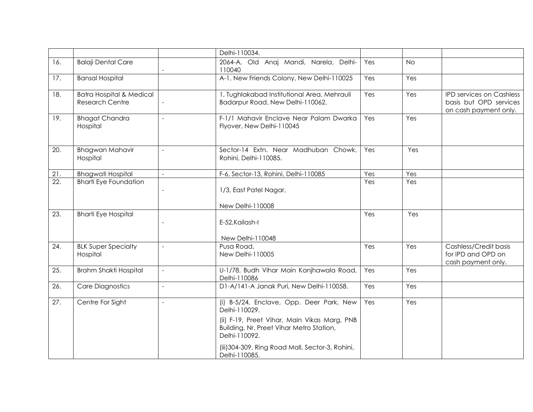|                   |                                                               |                     | Delhi-110034.                                                                                                                                                                                                                               |     |           |                                                                             |
|-------------------|---------------------------------------------------------------|---------------------|---------------------------------------------------------------------------------------------------------------------------------------------------------------------------------------------------------------------------------------------|-----|-----------|-----------------------------------------------------------------------------|
| 16.               | <b>Balaji Dental Care</b>                                     |                     | 2064-A, Old Anaj Mandi, Narela, Delhi-<br>110040                                                                                                                                                                                            | Yes | <b>No</b> |                                                                             |
| 17.               | <b>Bansal Hospital</b>                                        |                     | A-1, New Friends Colony, New Delhi-110025                                                                                                                                                                                                   | Yes | Yes       |                                                                             |
| 18.               | <b>Batra Hospital &amp; Medical</b><br><b>Research Centre</b> |                     | 1, Tughlakabad Institutional Area, Mehrauli<br>Badarpur Road, New Delhi-110062.                                                                                                                                                             | Yes | Yes       | IPD services on Cashless<br>basis but OPD services<br>on cash payment only. |
| 19.               | <b>Bhagat Chandra</b><br>Hospital                             | $\overline{a}$      | F-1/1 Mahavir Enclave Near Palam Dwarka<br>Flyover, New Delhi-110045                                                                                                                                                                        | Yes | Yes       |                                                                             |
| 20.               | <b>Bhagwan Mahavir</b><br>Hospital                            | $\overline{a}$      | Sector-14 Extn. Near Madhuban Chowk,<br>Rohini, Delhi-110085.                                                                                                                                                                               | Yes | Yes       |                                                                             |
| 21.               | <b>Bhagwati Hospital</b>                                      | $\sim$              | F-6, Sector-13, Rohini, Delhi-110085                                                                                                                                                                                                        | Yes | Yes       |                                                                             |
| $\overline{22}$ . | <b>Bharti Eye Foundation</b>                                  |                     | 1/3, East Patel Nagar,<br>New Delhi-110008                                                                                                                                                                                                  | Yes | Yes       |                                                                             |
| 23.               | <b>Bharti Eye Hospital</b>                                    |                     | E-52, Kailash-I<br>New Delhi-110048                                                                                                                                                                                                         | Yes | Yes       |                                                                             |
| 24.               | <b>BLK Super Specialty</b><br>Hospital                        | $\blacksquare$      | Pusa Road,<br>New Delhi-110005                                                                                                                                                                                                              | Yes | Yes       | Cashless/Credit basis<br>for IPD and OPD on<br>cash payment only.           |
| 25.               | Brahm Shakti Hospital                                         | $\sim$              | U-1/78, Budh Vihar Main Kanjhawala Road,<br>Delhi-110086                                                                                                                                                                                    | Yes | Yes       |                                                                             |
| 26.               | <b>Care Diagnostics</b>                                       | $\bar{\phantom{a}}$ | D1-A/141-A Janak Puri, New Delhi-110058.                                                                                                                                                                                                    | Yes | Yes       |                                                                             |
| 27.               | Centre For Sight                                              | $\overline{a}$      | (i) B-5/24, Enclave, Opp. Deer Park, New<br>Delhi-110029.<br>(ii) F-19, Preet Vihar, Main Vikas Marg, PNB<br>Building, Nr. Preet Vihar Metro Station,<br>Delhi-110092.<br>(iii) 304-309, Ring Road Mall, Sector-3, Rohini,<br>Delhi-110085. | Yes | Yes       |                                                                             |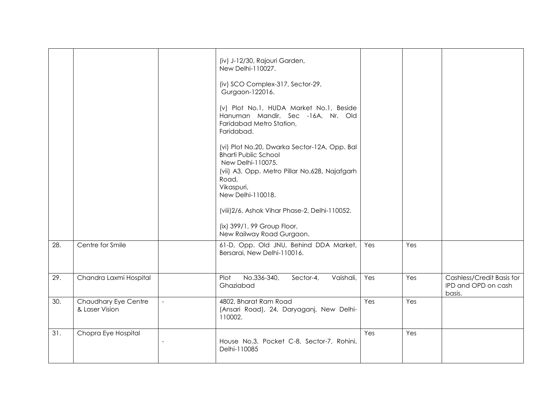|     |                                        |                | (iv) J-12/30, Rajouri Garden,<br>New Delhi-110027.                                                                                                                                            |     |     |                                                            |
|-----|----------------------------------------|----------------|-----------------------------------------------------------------------------------------------------------------------------------------------------------------------------------------------|-----|-----|------------------------------------------------------------|
|     |                                        |                | (iv) SCO Complex-317, Sector-29,<br>Gurgaon-122016.                                                                                                                                           |     |     |                                                            |
|     |                                        |                | (v) Plot No.1, HUDA Market No.1, Beside<br>Hanuman Mandir, Sec -16A, Nr. Old<br>Faridabad Metro Station,<br>Faridabad.                                                                        |     |     |                                                            |
|     |                                        |                | (vi) Plot No.20, Dwarka Sector-12A, Opp. Bal<br><b>Bharti Public School</b><br>New Delhi-110075.<br>(vii) A3, Opp. Metro Pillar No.628, Najafgarh<br>Road,<br>Vikaspuri,<br>New Delhi-110018. |     |     |                                                            |
|     |                                        |                | (viii)2/6, Ashok Vihar Phase-2, Delhi-110052.                                                                                                                                                 |     |     |                                                            |
|     |                                        |                | (ix) 399/1, 99 Group Floor,<br>New Railway Road Gurgaon.                                                                                                                                      |     |     |                                                            |
| 28. | Centre for Smile                       |                | 61-D, Opp. Old JNU, Behind DDA Market,<br>Bersarai, New Delhi-110016.                                                                                                                         | Yes | Yes |                                                            |
| 29. | Chandra Laxmi Hospital                 |                | No.336-340,<br>Plot<br>Sector-4,<br>Vaishali,<br>Ghaziabad                                                                                                                                    | Yes | Yes | Cashless/Credit Basis for<br>IPD and OPD on cash<br>basis. |
| 30. | Chaudhary Eye Centre<br>& Laser Vision | $\equiv$       | 4802, Bharat Ram Road<br>(Ansari Road), 24, Daryaganj, New Delhi-<br>110002.                                                                                                                  | Yes | Yes |                                                            |
| 31. | Chopra Eye Hospital                    | $\overline{a}$ | House No.3, Pocket C-8, Sector-7, Rohini,<br>Delhi-110085                                                                                                                                     | Yes | Yes |                                                            |
|     |                                        |                |                                                                                                                                                                                               |     |     |                                                            |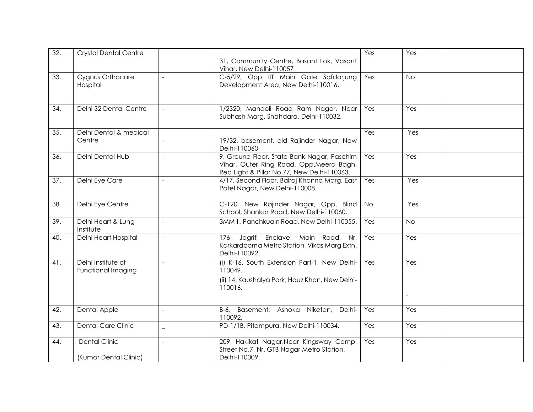| $\overline{32}$ . | <b>Crystal Dental Centre</b>                  |                | 31, Community Centre, Basant Lok, Vasant<br>Vihar, New Delhi-110057                                                                  | Yes       | Yes       |  |
|-------------------|-----------------------------------------------|----------------|--------------------------------------------------------------------------------------------------------------------------------------|-----------|-----------|--|
| 33.               | Cygnus Orthocare<br>Hospital                  |                | C-5/29, Opp IIT Main Gate Safdarjung<br>Development Area, New Delhi-110016.                                                          | Yes       | <b>No</b> |  |
| 34.               | Delhi 32 Dental Centre                        | $\mathbf{r}$   | 1/2320, Mandoli Road Ram Nagar, Near<br>Subhash Marg, Shahdara, Delhi-110032.                                                        | Yes       | Yes       |  |
| 35.               | Delhi Dental & medical<br>Centre              |                | 19/32, basement, old Rajinder Nagar, New<br>Delhi-110060                                                                             | Yes       | Yes       |  |
| 36.               | Delhi Dental Hub                              |                | 9, Ground Floor, State Bank Nagar, Paschim<br>Vihar, Outer Ring Road, Opp.Meera Bagh,<br>Red Light & Pillar No.77, New Delhi-110063. | Yes       | Yes       |  |
| 37.               | Delhi Eye Care                                | $\overline{a}$ | 4/17, Second Floor, Balraj Khanna Marg, East<br>Patel Nagar, New Delhi-110008.                                                       | Yes       | Yes       |  |
| 38.               | Delhi Eye Centre                              |                | C-120, New Rajinder Nagar, Opp. Blind<br>School, Shankar Road, New Delhi-110060.                                                     | <b>No</b> | Yes       |  |
| 39.               | Delhi Heart & Lung<br>Institute               | $\overline{a}$ | 3MM-II, Panchkuain Road, New Delhi-110055.                                                                                           | Yes       | <b>No</b> |  |
| 40.               | Delhi Heart Hospital                          | $\overline{a}$ | 176, Jagriti Enclave, Main Road, Nr.<br>Karkardooma Metro Station, Vikas Marg Extn.<br>Delhi-110092.                                 | Yes       | Yes       |  |
| 41.               | Delhi Institute of<br>Functional Imaging      |                | (i) K-16, South Extension Part-1, New Delhi-<br>110049.<br>(ii) 14, Kaushalya Park, Hauz Khan, New Delhi-<br>110016.                 | Yes       | Yes       |  |
| 42.               | Dental Apple                                  | $\overline{a}$ | B-6, Basement, Ashoka Niketan, Delhi-<br>110092.                                                                                     | Yes       | Yes       |  |
| 43.               | <b>Dental Care Clinic</b>                     | $\equiv$       | PD-1/1B, Pitampura, New Delhi-110034.                                                                                                | Yes       | Yes       |  |
| 44.               | <b>Dental Clinic</b><br>(Kumar Dental Clinic) |                | 209, Hakikat Nagar, Near Kingsway Camp,<br>Street No.7, Nr. GTB Nagar Metro Station,<br>Delhi-110009.                                | Yes       | Yes       |  |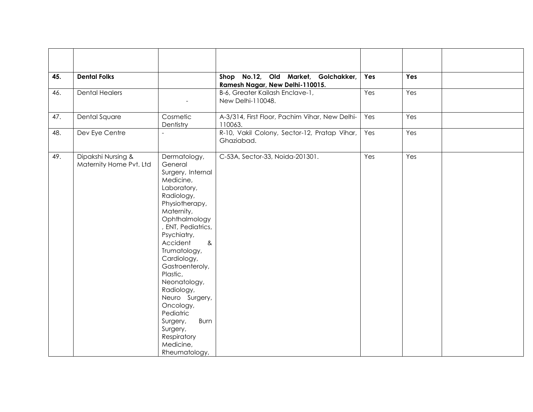| 45. | <b>Dental Folks</b>                           |                                                                                                                                                                                                                                                                                                                                                                                                                                 | Shop No.12, Old Market, Golchakker,<br>Ramesh Nagar, New Delhi-110015. | Yes | Yes |  |
|-----|-----------------------------------------------|---------------------------------------------------------------------------------------------------------------------------------------------------------------------------------------------------------------------------------------------------------------------------------------------------------------------------------------------------------------------------------------------------------------------------------|------------------------------------------------------------------------|-----|-----|--|
| 46. | <b>Dental Healers</b>                         |                                                                                                                                                                                                                                                                                                                                                                                                                                 | B-6, Greater Kailash Enclave-1,<br>New Delhi-110048.                   | Yes | Yes |  |
| 47. | Dental Square                                 | Cosmetic<br>Dentistry                                                                                                                                                                                                                                                                                                                                                                                                           | A-3/314, First Floor, Pachim Vihar, New Delhi-<br>110063.              | Yes | Yes |  |
| 48. | Dev Eye Centre                                | $\overline{\phantom{0}}$                                                                                                                                                                                                                                                                                                                                                                                                        | R-10, Vakil Colony, Sector-12, Pratap Vihar,<br>Ghaziabad.             | Yes | Yes |  |
| 49. | Dipakshi Nursing &<br>Maternity Home Pvt. Ltd | Dermatology,<br>General<br>Surgery, Internal<br>Medicine,<br>Laboratory,<br>Radiology,<br>Physiotherapy,<br>Maternity,<br>Ophthalmology<br>, ENT, Pediatrics,<br>Psychiatry,<br>Accident<br>8 <sub>x</sub><br>Trumatology,<br>Cardiology,<br>Gastroenteroly,<br>Plastic,<br>Neonatology,<br>Radiology,<br>Neuro Surgery,<br>Oncology,<br>Pediatric<br>Burn<br>Surgery,<br>Surgery,<br>Respiratory<br>Medicine,<br>Rheumatology, | C-53A, Sector-33, Noida-201301.                                        | Yes | Yes |  |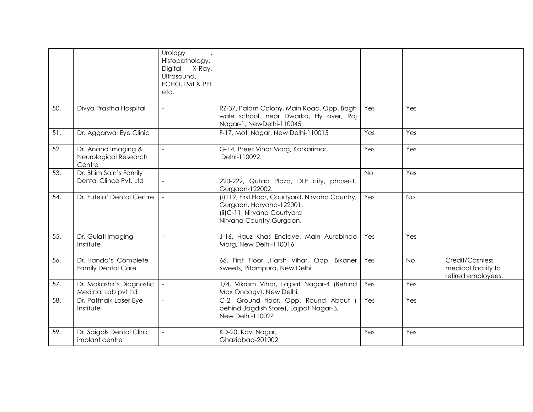|                                                        | Urology<br>Histopathology,<br>Digital X-Ray,<br>Ultrasound,<br>ECHO, TMT & PFT<br>etc. |                                                                                                                                           |           |           |                                                              |
|--------------------------------------------------------|----------------------------------------------------------------------------------------|-------------------------------------------------------------------------------------------------------------------------------------------|-----------|-----------|--------------------------------------------------------------|
| Divya Prastha Hospital                                 | $\overline{\phantom{a}}$                                                               | RZ-37, Palam Colony, Main Road. Opp. Bagh<br>wale school, near Dwarka, Fly over, Raj<br>Nagar-1, NewDelhi-110045                          | Yes       | Yes       |                                                              |
| Dr. Aggarwal Eye Clinic                                |                                                                                        | F-17, Moti Nagar, New Delhi-110015                                                                                                        | Yes       | Yes       |                                                              |
| Dr. Anand Imaging &<br>Neurological Research<br>Centre | $\sim$                                                                                 | G-14, Preet Vihar Marg, Karkarimor,<br>Delhi-110092.                                                                                      | Yes       | Yes       |                                                              |
| Dr. Bhim Sain's Family<br>Dental Clince Pvt. Ltd       |                                                                                        | 220-222, Qutab Plaza, DLF city, phase-1,<br>Gurgaon-122002.                                                                               | <b>No</b> | Yes       |                                                              |
| Dr. Futela' Dental Centre                              |                                                                                        | (i)119, First Floor, Courtyard, Nirvana Country,<br>Gurgaon, Haryana-122001.<br>(ii) C-11, Nirvana Courtyard<br>Nirvana Country, Gurgaon. | Yes       | <b>No</b> |                                                              |
| Dr. Gulati Imaging<br>Institute                        | $\overline{a}$                                                                         | J-16, Hauz Khas Enclave, Main Aurobindo<br>Marg, New Delhi-110016                                                                         | Yes       | Yes       |                                                              |
| Dr. Handa's Complete<br><b>Family Dental Care</b>      |                                                                                        | 66, First Floor , Harsh Vihar, Opp. Bikaner<br>Sweets, Pitampura, New Delhi                                                               | Yes       | <b>No</b> | Credit/Cashless<br>medical facility to<br>retired employees. |
| Dr. Makashir's Diagnostic<br>Medical Lab pvt Itd       | $\equiv$                                                                               | 1/4, Vikram Vihar, Lajpat Nagar-4 (Behind<br>Max Oncogy), New Delhi.                                                                      | Yes       | Yes       |                                                              |
| Dr. Pattnaik Laser Eye<br>Institute                    | $\overline{a}$                                                                         | C-2, Ground floor, Opp. Round About (<br>behind Jagdish Store), Lajpat Nagar-3,<br>New Delhi-110024                                       | Yes       | Yes       |                                                              |
| Dr. Saigals Dental Clinic<br>implant centre            | $\sim$                                                                                 | KD-20, Kavi Nagar,<br>Ghaziabad-201002                                                                                                    | Yes       | Yes       |                                                              |
|                                                        |                                                                                        |                                                                                                                                           |           |           |                                                              |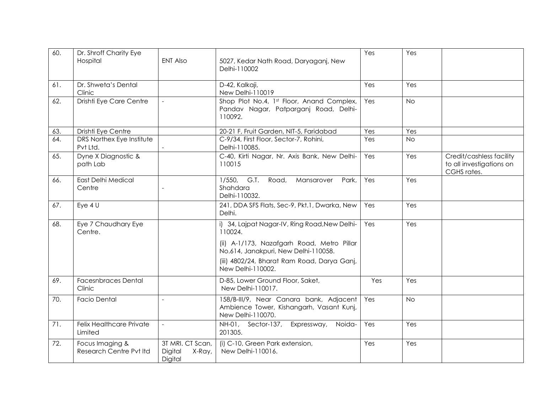| 60. | Dr. Shroff Charity Eye<br>Hospital         | <b>ENT Also</b>                                  | 5027, Kedar Nath Road, Daryaganj, New<br>Delhi-110002                                                                                          | Yes | Yes       |                                                                     |
|-----|--------------------------------------------|--------------------------------------------------|------------------------------------------------------------------------------------------------------------------------------------------------|-----|-----------|---------------------------------------------------------------------|
| 61. | Dr. Shweta's Dental<br>Clinic              |                                                  | D-42, Kalkaji,<br>New Delhi-110019                                                                                                             | Yes | Yes       |                                                                     |
| 62. | Drishti Eye Care Centre                    | $\sim$                                           | Shop Plot No.4, 1st Floor, Anand Complex,<br>Pandav Nagar, Patparganj Road, Delhi-<br>110092.                                                  | Yes | <b>No</b> |                                                                     |
| 63. | Drishti Eye Centre                         |                                                  | 20-21 F, Fruit Garden, NIT-5, Faridabad                                                                                                        | Yes | Yes       |                                                                     |
| 64. | DRS Northex Eye Institute<br>Pvt Ltd.      |                                                  | C-9/34, First Floor, Sector-7, Rohini,<br>Delhi-110085.                                                                                        | Yes | <b>No</b> |                                                                     |
| 65. | Dyne X Diagnostic &<br>path Lab            |                                                  | C-40, Kirti Nagar, Nr. Axis Bank, New Delhi-<br>110015                                                                                         | Yes | Yes       | Credit/cashless facility<br>to all investigations on<br>CGHS rates. |
| 66. | <b>East Delhi Medical</b><br>Centre        |                                                  | G.T.<br>Road,<br>$1/550$ ,<br>Mansarover<br>Park,<br>Shahdara<br>Delhi-110032.                                                                 | Yes | Yes       |                                                                     |
| 67. | Eye $4U$                                   |                                                  | 241, DDA SFS Flats, Sec-9, Pkt.1, Dwarka, New<br>Delhi.                                                                                        | Yes | Yes       |                                                                     |
| 68. | Eye 7 Chaudhary Eye<br>Centre.             |                                                  | i) 34, Lajpat Nagar-IV, Ring Road, New Delhi-<br>110024.<br>(ii) A-1/173, Nazafgarh Road, Metro Pillar<br>No.614, Janakpuri, New Delhi-110058. | Yes | Yes       |                                                                     |
|     |                                            |                                                  | (iii) 4802/24, Bharat Ram Road, Darya Ganj,<br>New Delhi-110002.                                                                               |     |           |                                                                     |
| 69. | <b>Facesnbraces Dental</b><br>Clinic       |                                                  | D-85, Lower Ground Floor, Saket,<br>New Delhi-110017.                                                                                          | Yes | Yes       |                                                                     |
| 70. | <b>Facio Dental</b>                        | $\overline{a}$                                   | 158/B-III/9, Near Canara bank, Adjacent<br>Ambience Tower, Kishangarh, Vasant Kunj,<br>New Delhi-110070.                                       | Yes | <b>No</b> |                                                                     |
| 71. | <b>Felix Healthcare Private</b><br>Limited | $\sim$                                           | NH-01, Sector-137, Expressway, Noida-<br>201305.                                                                                               | Yes | Yes       |                                                                     |
| 72. | Focus Imaging &<br>Research Centre Pvt Itd | 3T MRI. CT Scan,<br>Digital<br>X-Ray,<br>Digital | (i) C-10, Green Park extension,<br>New Delhi-110016.                                                                                           | Yes | Yes       |                                                                     |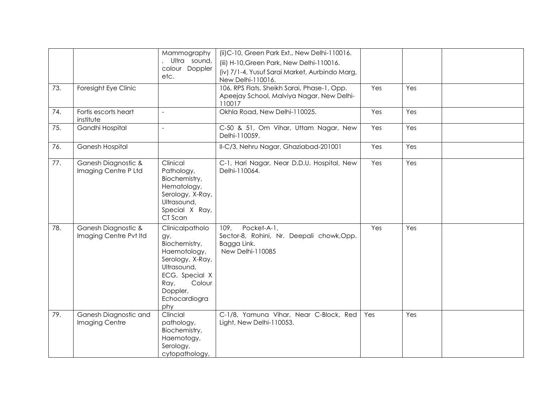|     |                                               | Mammography<br>Ultra sound,<br>colour Doppler<br>etc.                                                                                                              | (ii) C-10, Green Park Ext., New Delhi-110016.<br>(iii) H-10, Green Park, New Delhi-110016.<br>(iv) 7/1-4, Yusuf Sarai Market, Aurbindo Marg,<br>New Delhi-110016. |     |     |  |
|-----|-----------------------------------------------|--------------------------------------------------------------------------------------------------------------------------------------------------------------------|-------------------------------------------------------------------------------------------------------------------------------------------------------------------|-----|-----|--|
| 73. | Foresight Eye Clinic                          |                                                                                                                                                                    | 106, RPS Flats, Sheikh Sarai, Phase-1, Opp.<br>Apeejay School, Malviya Nagar, New Delhi-<br>110017                                                                | Yes | Yes |  |
| 74. | Fortis escorts heart<br>institute             | $\equiv$                                                                                                                                                           | Okhla Road, New Delhi-110025.                                                                                                                                     | Yes | Yes |  |
| 75. | Gandhi Hospital                               | $\sim$                                                                                                                                                             | C-50 & 51, Om Vihar, Uttam Nagar, New<br>Delhi-110059.                                                                                                            | Yes | Yes |  |
| 76. | Ganesh Hospital                               |                                                                                                                                                                    | II-C/3, Nehru Nagar, Ghaziabad-201001                                                                                                                             | Yes | Yes |  |
| 77. | Ganesh Diagnostic &<br>Imaging Centre P Ltd   | Clinical<br>Pathology,<br>Biochemistry,<br>Hematology,<br>Serology, X-Ray,<br>Ultrasound,<br>Special X Ray,<br>CT Scan                                             | C-1, Hari Nagar, Near D.D.U. Hospital, New<br>Delhi-110064.                                                                                                       | Yes | Yes |  |
| 78. | Ganesh Diagnostic &<br>Imaging Centre Pvt Itd | Clinicalpatholo<br>gy,<br>Biochemistry,<br>Haemotology,<br>Serology, X-Ray,<br>Ultrasound,<br>ECG, Special X<br>Colour<br>Ray,<br>Doppler,<br>Echocardiogra<br>phy | Pocket-A-1,<br>109,<br>Sector-8, Rohini, Nr. Deepali chowk, Opp.<br>Bagga Link.<br>New Delhi-110085                                                               | Yes | Yes |  |
| 79. | Ganesh Diagnostic and<br>Imaging Centre       | Clincial<br>pathology,<br>Biochemistry,<br>Haemotogy,<br>Serology,<br>cytopathology,                                                                               | C-1/8, Yamuna Vihar, Near C-Block, Red<br>Light, New Delhi-110053.                                                                                                | Yes | Yes |  |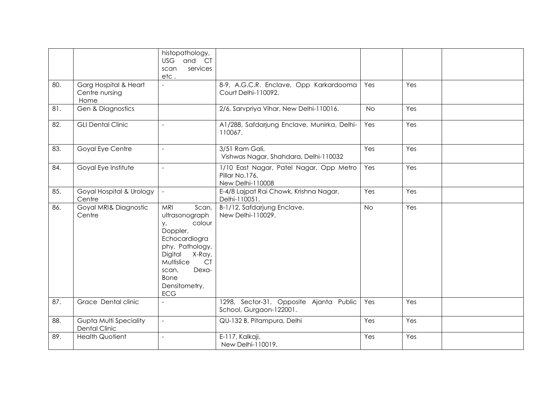|     |                               | histopathology,          |                                             |           |     |  |
|-----|-------------------------------|--------------------------|---------------------------------------------|-----------|-----|--|
|     |                               | <b>USG</b><br>and CT     |                                             |           |     |  |
|     |                               | services<br>scan         |                                             |           |     |  |
|     |                               | etc.                     |                                             |           |     |  |
| 80. | Garg Hospital & Heart         |                          | 8-9, A.G.C.R. Enclave, Opp Karkardooma      | Yes       | Yes |  |
|     | Centre nursing                |                          | Court Delhi-110092.                         |           |     |  |
|     | Home                          |                          |                                             |           |     |  |
| 81. | Gen & Diagnostics             |                          | 2/6, Sarvpriya Vihar, New Delhi-110016.     | <b>No</b> | Yes |  |
|     |                               |                          |                                             |           |     |  |
| 82. | <b>GLI Dental Clinic</b>      | $\overline{a}$           | A1/288, Safdarjung Enclave, Munirka, Delhi- | Yes       | Yes |  |
|     |                               |                          | 110067.                                     |           |     |  |
|     |                               |                          |                                             |           |     |  |
|     |                               |                          |                                             |           |     |  |
| 83. | Goyal Eye Centre              | $\overline{a}$           | 3/51 Ram Gali,                              | Yes       | Yes |  |
|     |                               |                          | Vishwas Nagar, Shahdara, Delhi-110032       |           |     |  |
| 84. | Goyal Eye Institute           | $\blacksquare$           | 1/10 East Nagar, Patel Nagar, Opp Metro     | Yes       | Yes |  |
|     |                               |                          | Pillar No.176,                              |           |     |  |
|     |                               |                          | New Delhi-110008                            |           |     |  |
| 85. | Goyal Hospital & Urology      | $\mathcal{L}$            | E-4/8 Lajpat Rai Chowk, Krishna Nagar,      | Yes       | Yes |  |
|     | Centre                        |                          | Delhi-110051.                               |           |     |  |
| 86. | Goyal MRI& Diagnostic         | <b>MRI</b><br>Scan,      | B-1/12, Safdarjung Enclave,                 | <b>No</b> | Yes |  |
|     | Centre                        | ultrasonograph           | New Delhi-110029.                           |           |     |  |
|     |                               | colour                   |                                             |           |     |  |
|     |                               | у,<br>Doppler,           |                                             |           |     |  |
|     |                               |                          |                                             |           |     |  |
|     |                               | Echocardiogra            |                                             |           |     |  |
|     |                               | phy, Pathology,          |                                             |           |     |  |
|     |                               | X-Ray,<br>Digital        |                                             |           |     |  |
|     |                               | Multislice<br><b>CT</b>  |                                             |           |     |  |
|     |                               | Dexa-<br>scan,           |                                             |           |     |  |
|     |                               | <b>Bone</b>              |                                             |           |     |  |
|     |                               | Densitometry,            |                                             |           |     |  |
|     |                               | <b>ECG</b>               |                                             |           |     |  |
| 87. | Grace Dental clinic           |                          | 1298, Sector-31, Opposite Ajanta Public     | Yes       | Yes |  |
|     |                               |                          | School, Gurgaon-122001.                     |           |     |  |
| 88. | <b>Gupta Multi Speciality</b> | $\overline{\phantom{a}}$ | QU-132 B, Pitampura, Delhi                  | Yes       | Yes |  |
|     | <b>Dental Clinic</b>          |                          |                                             |           |     |  |
| 89. |                               | $\overline{a}$           | E-117, Kalkaji,                             |           | Yes |  |
|     | <b>Health Quotient</b>        |                          |                                             | Yes       |     |  |
|     |                               |                          | New Delhi-110019.                           |           |     |  |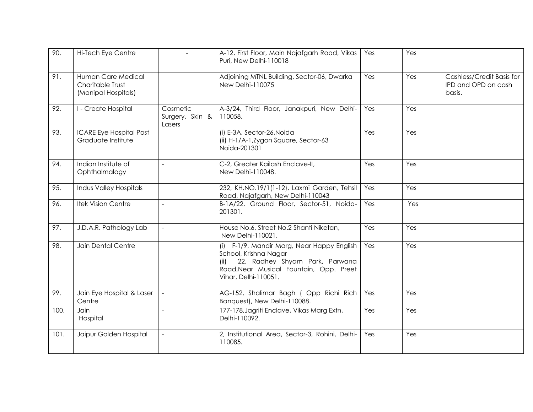| 90.  | Hi-Tech Eye Centre                                            |                                       | A-12, First Floor, Main Najafgarh Road, Vikas<br>Puri, New Delhi-110018                                                                                                  | Yes | Yes |                                                            |
|------|---------------------------------------------------------------|---------------------------------------|--------------------------------------------------------------------------------------------------------------------------------------------------------------------------|-----|-----|------------------------------------------------------------|
| 91.  | Human Care Medical<br>Charitable Trust<br>(Manipal Hospitals) |                                       | Adjoining MTNL Building, Sector-06, Dwarka<br>New Delhi-110075                                                                                                           | Yes | Yes | Cashless/Credit Basis for<br>IPD and OPD on cash<br>basis. |
| 92.  | I - Create Hospital                                           | Cosmetic<br>Surgery, Skin &<br>Lasers | A-3/24, Third Floor, Janakpuri, New Delhi-<br>110058.                                                                                                                    | Yes | Yes |                                                            |
| 93.  | <b>ICARE Eye Hospital Post</b><br>Graduate Institute          |                                       | (i) E-3A, Sector-26, Noida<br>(ii) H-1/A-1, Zygon Square, Sector-63<br>Noida-201301                                                                                      | Yes | Yes |                                                            |
| 94.  | Indian Institute of<br>Ophthalmalogy                          | $\overline{\phantom{a}}$              | C-2, Greater Kailash Enclave-II,<br>New Delhi-110048.                                                                                                                    | Yes | Yes |                                                            |
| 95.  | <b>Indus Valley Hospitals</b>                                 |                                       | 232, KH.NO.19/1(1-12), Laxmi Garden, Tehsil<br>Road, Najafgarh, New Delhi-110043                                                                                         | Yes | Yes |                                                            |
| 96.  | <b>Itek Vision Centre</b>                                     | $\overline{\phantom{a}}$              | B-1A/22, Ground Floor, Sector-51, Noida-<br>201301.                                                                                                                      | Yes | Yes |                                                            |
| 97.  | J.D.A.R. Pathology Lab                                        | $\mathbb{L}$                          | House No.6, Street No.2 Shanti Niketan,<br>New Delhi-110021.                                                                                                             | Yes | Yes |                                                            |
| 98.  | Jain Dental Centre                                            |                                       | (i) F-1/9, Mandir Marg, Near Happy English<br>School, Krishna Nagar<br>22, Radhey Shyam Park, Parwana<br>Road, Near Musical Fountain, Opp. Preet<br>Vihar, Delhi-110051. | Yes | Yes |                                                            |
| 99.  | Jain Eye Hospital & Laser<br>Centre                           |                                       | AG-152, Shalimar Bagh (Opp Richi Rich<br>Banquest), New Delhi-110088.                                                                                                    | Yes | Yes |                                                            |
| 100. | Jain<br>Hospital                                              | $\overline{\phantom{a}}$              | 177-178, Jagriti Enclave, Vikas Marg Extn,<br>Delhi-110092.                                                                                                              | Yes | Yes |                                                            |
| 101. | Jaipur Golden Hospital                                        | $\equiv$                              | 2, Institutional Area, Sector-3, Rohini, Delhi-<br>110085.                                                                                                               | Yes | Yes |                                                            |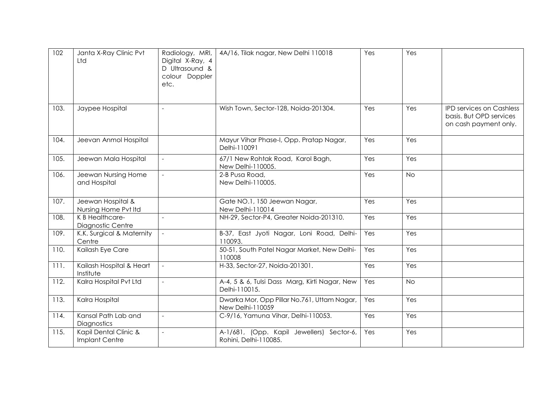| 102  | Janta X-Ray Clinic Pvt<br>Ltd             | Radiology, MRI,<br>Digital X-Ray, 4<br>D Ultrasound &<br>colour Doppler<br>etc. | 4A/16, Tilak nagar, New Delhi 110018                               | Yes | Yes       |                                                                                     |
|------|-------------------------------------------|---------------------------------------------------------------------------------|--------------------------------------------------------------------|-----|-----------|-------------------------------------------------------------------------------------|
| 103. | Jaypee Hospital                           | $\overline{a}$                                                                  | Wish Town, Sector-128, Noida-201304.                               | Yes | Yes       | <b>IPD services on Cashless</b><br>basis. But OPD services<br>on cash payment only. |
| 104. | Jeevan Anmol Hospital                     |                                                                                 | Mayur Vihar Phase-I, Opp. Pratap Nagar,<br>Delhi-110091            | Yes | Yes       |                                                                                     |
| 105. | Jeewan Mala Hospital                      | $\equiv$                                                                        | 67/1 New Rohtak Road, Karol Bagh,<br>New Delhi-110005.             | Yes | Yes       |                                                                                     |
| 106. | Jeewan Nursing Home<br>and Hospital       | $\overline{a}$                                                                  | 2-B Pusa Road,<br>New Delhi-110005.                                | Yes | <b>No</b> |                                                                                     |
| 107. | Jeewan Hospital &<br>Nursing Home Pvt Itd |                                                                                 | Gate NO.1, 150 Jeewan Nagar,<br>New Delhi-110014                   | Yes | Yes       |                                                                                     |
| 108. | K B Healthcare-<br>Diagnostic Centre      | $\overline{a}$                                                                  | NH-29, Sector-P4, Greater Noida-201310.                            | Yes | Yes       |                                                                                     |
| 109. | K.K. Surgical & Maternity<br>Centre       | $\overline{\phantom{a}}$                                                        | B-37, East Jyoti Nagar, Loni Road, Delhi-<br>110093.               | Yes | Yes       |                                                                                     |
| 110. | Kailash Eye Care                          |                                                                                 | 50-51, South Patel Nagar Market, New Delhi-<br>110008              | Yes | Yes       |                                                                                     |
| 111. | Kailash Hospital & Heart<br>Institute     | $\sim$                                                                          | H-33, Sector-27, Noida-201301.                                     | Yes | Yes       |                                                                                     |
| 112. | Kalra Hospital Pvt Ltd                    | $\overline{\phantom{a}}$                                                        | A-4, 5 & 6, Tulsi Dass Marg, Kirti Nagar, New<br>Delhi-110015.     | Yes | <b>No</b> |                                                                                     |
| 113. | Kalra Hospital                            |                                                                                 | Dwarka Mor, Opp Pillar No.761, Uttam Nagar,<br>New Delhi-110059    | Yes | Yes       |                                                                                     |
| 114. | Kansal Path Lab and<br>Diagnostics        | $\sim$                                                                          | C-9/16, Yamuna Vihar, Delhi-110053.                                | Yes | Yes       |                                                                                     |
| 115. | Kapil Dental Clinic &<br>Implant Centre   | $\overline{a}$                                                                  | A-1/681, (Opp. Kapil Jewellers) Sector-6,<br>Rohini, Delhi-110085. | Yes | Yes       |                                                                                     |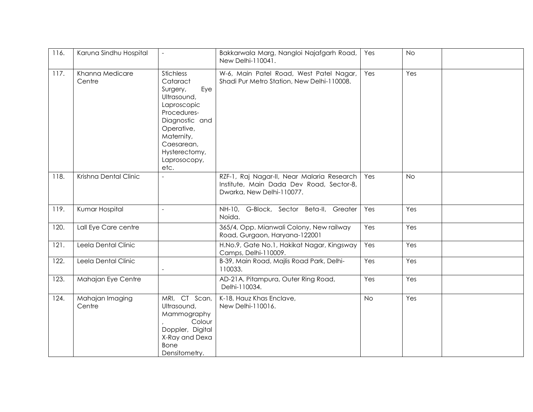| 116. | Karuna Sindhu Hospital    | $\sim$                                                                                                                                                                                            | Bakkarwala Marg, Nangloi Najafgarh Road,<br>New Delhi-110041.                                                       | Yes       | <b>No</b> |  |
|------|---------------------------|---------------------------------------------------------------------------------------------------------------------------------------------------------------------------------------------------|---------------------------------------------------------------------------------------------------------------------|-----------|-----------|--|
| 117. | Khanna Medicare<br>Centre | <b>Stichless</b><br>Cataract<br>Surgery,<br>Eye<br>Ultrasound,<br>Laproscopic<br>Procedures-<br>Diagnostic and<br>Operative,<br>Maternity,<br>Caesarean,<br>Hysterectomy,<br>Laprosocopy,<br>etc. | W-6, Main Patel Road, West Patel Nagar,<br>Shadi Pur Metro Station, New Delhi-110008.                               | Yes       | Yes       |  |
| 118. | Krishna Dental Clinic     |                                                                                                                                                                                                   | RZF-1, Raj Nagar-II, Near Malaria Research<br>Institute, Main Dada Dev Road, Sector-8,<br>Dwarka, New Delhi-110077. | Yes       | <b>No</b> |  |
| 119. | Kumar Hospital            |                                                                                                                                                                                                   | NH-10, G-Block, Sector Beta-II, Greater<br>Noida.                                                                   | Yes       | Yes       |  |
| 120. | Lall Eye Care centre      |                                                                                                                                                                                                   | 365/4, Opp. Mianwali Colony, New railway<br>Road, Gurgaon, Haryana-122001                                           | Yes       | Yes       |  |
| 121. | Leela Dental Clinic       |                                                                                                                                                                                                   | H.No.9, Gate No.1, Hakikat Nagar, Kingsway<br>Camps, Delhi-110009.                                                  | Yes       | Yes       |  |
| 122. | Leela Dental Clinic       |                                                                                                                                                                                                   | B-39, Main Road, Majlis Road Park, Delhi-<br>110033.                                                                | Yes       | Yes       |  |
| 123. | Mahajan Eye Centre        |                                                                                                                                                                                                   | AD-21A, Pitampura, Outer Ring Road,<br>Delhi-110034.                                                                | Yes       | Yes       |  |
| 124. | Mahajan Imaging<br>Centre | MRI, CT Scan,<br>Ultrasound,<br>Mammography<br>Colour<br>Doppler, Digital<br>X-Ray and Dexa<br><b>Bone</b><br>Densitometry.                                                                       | K-18, Hauz Khas Enclave,<br>New Delhi-110016.                                                                       | <b>No</b> | Yes       |  |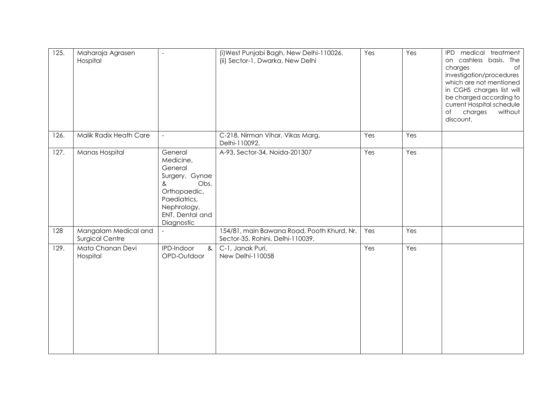| 125. | Maharaja Agrasen<br>Hospital            | $\overline{\phantom{a}}$                                                                                                                       | (i) West Punjabi Bagh, New Delhi-110026.<br>(ii) Sector-1, Dwarka, New Delhi   | Yes | Yes | IPD medical treatment<br>on cashless basis. The<br>charges<br>$\circ$ f<br>investigation/procedures<br>which are not mentioned<br>in CGHS charges list will<br>be charged according to<br>current Hospital schedule<br>$\circ$ f<br>charges<br>without<br>discount. |
|------|-----------------------------------------|------------------------------------------------------------------------------------------------------------------------------------------------|--------------------------------------------------------------------------------|-----|-----|---------------------------------------------------------------------------------------------------------------------------------------------------------------------------------------------------------------------------------------------------------------------|
| 126. | Malik Radix Heath Care                  | $\equiv$                                                                                                                                       | C-218, Nirman Vihar, Vikas Marg,<br>Delhi-110092.                              | Yes | Yes |                                                                                                                                                                                                                                                                     |
| 127. | Manas Hospital                          | General<br>Medicine,<br>General<br>Surgery, Gynae<br>Obs,<br>&<br>Orthopaedic,<br>Paediatrics,<br>Nephrology,<br>ENT, Dental and<br>Diagnostic | A-93, Sector-34, Noida-201307                                                  | Yes | Yes |                                                                                                                                                                                                                                                                     |
| 128  | Mangalam Medical and<br>Surgical Centre |                                                                                                                                                | 154/81, main Bawana Road, Pooth Khurd, Nr.<br>Sector-35, Rohini, Delhi-110039. | Yes | Yes |                                                                                                                                                                                                                                                                     |
| 129. | Mata Chanan Devi<br>Hospital            | IPD-Indoor<br>&<br>OPD-Outdoor                                                                                                                 | C-1, Janak Puri,<br>New Delhi-110058                                           | Yes | Yes |                                                                                                                                                                                                                                                                     |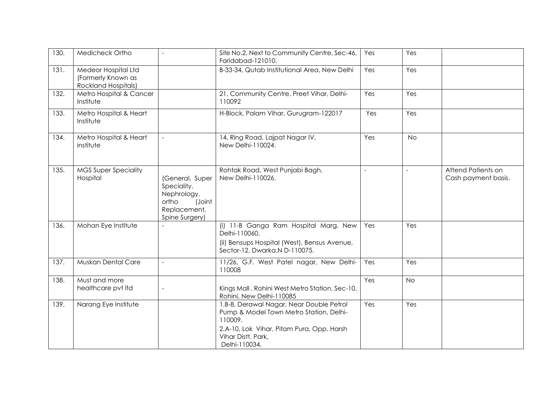| 130. | Medicheck Ortho                                                  | $\overline{a}$                                                                                     | Site No.2, Next to Community Centre, Sec-46,<br>Faridabad-121010.                                                                                                                  | Yes            | Yes            |                                           |
|------|------------------------------------------------------------------|----------------------------------------------------------------------------------------------------|------------------------------------------------------------------------------------------------------------------------------------------------------------------------------------|----------------|----------------|-------------------------------------------|
| 131. | Medeor Hospital Ltd<br>(Formerly Known as<br>Rockland Hospitals) |                                                                                                    | B-33-34, Qutab Institutional Area, New Delhi                                                                                                                                       | Yes            | Yes            |                                           |
| 132. | Metro Hospital & Cancer<br>Institute                             |                                                                                                    | 21, Community Centre, Preet Vihar, Delhi-<br>110092                                                                                                                                | Yes            | Yes            |                                           |
| 133. | Metro Hospital & Heart<br>Institute                              |                                                                                                    | H-Block, Palam Vihar, Gurugram-122017                                                                                                                                              | Yes            | Yes            |                                           |
| 134. | Metro Hospital & Heart<br>institute                              | $\overline{\phantom{a}}$                                                                           | 14, Ring Road, Lajpat Nagar IV,<br>New Delhi-110024.                                                                                                                               | Yes            | <b>No</b>      |                                           |
| 135. | <b>MGS Super Speciality</b><br>Hospital                          | (General, Super<br>Speciality,<br>Nephrology,<br>ortho<br>(Joint<br>Replacement,<br>Spine Surgery) | Rohtak Road, West Punjabi Bagh,<br>New Delhi-110026.                                                                                                                               | $\blacksquare$ | $\overline{a}$ | Attend Patients on<br>Cash payment basis. |
| 136. | Mohan Eye Institute                                              |                                                                                                    | (i) 11-B Ganga Ram Hospital Marg, New<br>Delhi-110060.<br>(ii) Bensups Hospital (West), Bensus Avenue,<br>Sector-12, Dwarka, N D-110075.                                           | Yes            | Yes            |                                           |
| 137. | Muskan Dental Care                                               | $\overline{a}$                                                                                     | 11/26, G.F. West Patel nagar, New Delhi-<br>110008                                                                                                                                 | Yes            | Yes            |                                           |
| 138. | Must and more<br>healthcare pvt Itd                              |                                                                                                    | Kings Mall, Rohini West Metro Station, Sec-10,<br>Rohini, New Delhi-110085                                                                                                         | Yes            | <b>No</b>      |                                           |
| 139. | Narang Eye Institute                                             |                                                                                                    | 1.B-8, Derawal Nagar, Near Double Petrol<br>Pump & Model Town Metro Station, Delhi-<br>110009.<br>2.A-10, Lok Vihar, Pitam Pura, Opp. Harsh<br>Vihar Distt. Park,<br>Delhi-110034. | Yes            | Yes            |                                           |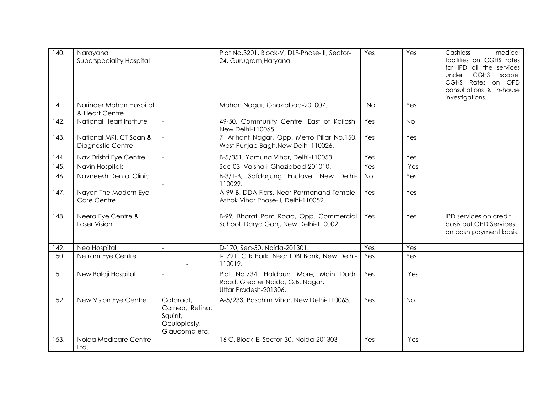| 140. | Narayana<br><b>Superspeciality Hospital</b>  |                                                                          | Plot No.3201, Block-V, DLF-Phase-III, Sector-<br>24, Gurugram, Haryana                              | Yes       | Yes       | Cashless<br>medical<br>facilities on CGHS rates<br>for IPD all the services<br><b>CGHS</b><br>under<br>scope.<br><b>CGHS</b><br>Rates on OPD<br>consultations & in-house<br>investigations. |
|------|----------------------------------------------|--------------------------------------------------------------------------|-----------------------------------------------------------------------------------------------------|-----------|-----------|---------------------------------------------------------------------------------------------------------------------------------------------------------------------------------------------|
| 141. | Narinder Mohan Hospital<br>& Heart Centre    |                                                                          | Mohan Nagar, Ghaziabad-201007.                                                                      | <b>No</b> | Yes       |                                                                                                                                                                                             |
| 142. | National Heart Institute                     | $\sim$                                                                   | 49-50, Community Centre, East of Kailash,<br>New Delhi-110065.                                      | Yes       | <b>No</b> |                                                                                                                                                                                             |
| 143. | National MRI, CT Scan &<br>Diagnostic Centre | $\sim$                                                                   | 7, Arihant Nagar, Opp. Metro Pillar No.150,<br>West Punjab Bagh, New Delhi-110026.                  | Yes       | Yes       |                                                                                                                                                                                             |
| 144. | Nav Drishti Eye Centre                       | $\mathcal{L}$                                                            | B-5/351, Yamuna Vihar, Delhi-110053.                                                                | Yes       | Yes       |                                                                                                                                                                                             |
| 145. | Navin Hospitals                              |                                                                          | Sec-03, Vaishali, Ghaziabad-201010.                                                                 | Yes       | Yes       |                                                                                                                                                                                             |
| 146. | Navneesh Dental Clinic                       |                                                                          | B-3/1-B, Safdarjung Enclave, New Delhi-<br>110029.                                                  | <b>No</b> | Yes       |                                                                                                                                                                                             |
| 147. | Nayan The Modern Eye<br>Care Centre          | $\mathbb{L}$                                                             | A-99-B, DDA Flats, Near Parmanand Temple,<br>Ashok Vihar Phase-II, Delhi-110052.                    | Yes       | Yes       |                                                                                                                                                                                             |
| 148. | Neera Eye Centre &<br>Laser Vision           |                                                                          | B-99, Bharat Ram Road, Opp. Commercial<br>School, Darya Ganj, New Delhi-110002.                     | Yes       | Yes       | IPD services on credit<br>basis but OPD Services<br>on cash payment basis.                                                                                                                  |
| 149. | Neo Hospital                                 | $\overline{\phantom{a}}$                                                 | D-170, Sec-50, Noida-201301.                                                                        | Yes       | Yes       |                                                                                                                                                                                             |
| 150. | Netram Eye Centre                            |                                                                          | I-1791, C R Park, Near IDBI Bank, New Delhi-<br>110019.                                             | Yes       | Yes       |                                                                                                                                                                                             |
| 151. | New Balaji Hospital                          | $\frac{1}{2}$                                                            | Plot No.734, Haldauni More, Main Dadri<br>Road, Greater Noida, G.B. Nagar,<br>Uttar Pradesh-201306. | Yes       | Yes       |                                                                                                                                                                                             |
| 152. | New Vision Eye Centre                        | Cataract.<br>Cornea, Retina,<br>Squint,<br>Oculoplasty,<br>Glaucoma etc. | A-5/233, Paschim Vihar, New Delhi-110063.                                                           | Yes       | <b>No</b> |                                                                                                                                                                                             |
| 153. | Noida Medicare Centre<br>Ltd.                |                                                                          | 16 C, Block-E, Sector-30, Noida-201303                                                              | Yes       | Yes       |                                                                                                                                                                                             |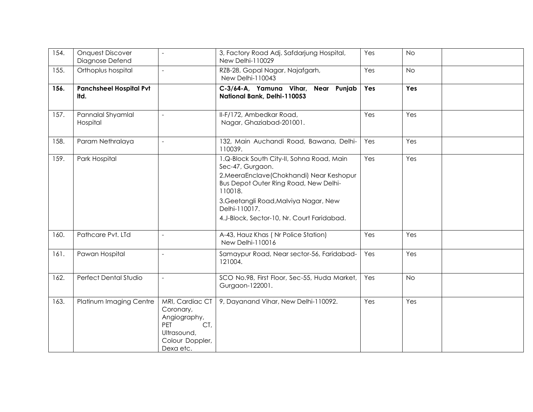| 154. | <b>Onquest Discover</b><br>Diagnose Defend | $\blacksquare$                                                                                                   | 3, Factory Road Adj. Safdarjung Hospital,<br>New Delhi-110029                                                                                                                                                                                                           | Yes | <b>No</b> |  |
|------|--------------------------------------------|------------------------------------------------------------------------------------------------------------------|-------------------------------------------------------------------------------------------------------------------------------------------------------------------------------------------------------------------------------------------------------------------------|-----|-----------|--|
| 155. | Orthoplus hospital                         | $\overline{a}$                                                                                                   | RZB-28, Gopal Nagar, Najafgarh,<br>New Delhi-110043                                                                                                                                                                                                                     | Yes | <b>No</b> |  |
| 156. | <b>Panchsheel Hospital Pvt</b><br>Itd.     |                                                                                                                  | C-3/64-A, Yamuna Vihar, Near Punjab<br>National Bank, Delhi-110053                                                                                                                                                                                                      | Yes | Yes       |  |
| 157. | Pannalal Shyamlal<br>Hospital              | $\overline{\phantom{a}}$                                                                                         | II-F/172, Ambedkar Road,<br>Nagar, Ghaziabad-201001.                                                                                                                                                                                                                    | Yes | Yes       |  |
| 158. | Param Nethralaya                           |                                                                                                                  | 132, Main Auchandi Road, Bawana, Delhi-<br>110039.                                                                                                                                                                                                                      | Yes | Yes       |  |
| 159. | Park Hospital                              |                                                                                                                  | 1.Q-Block South City-II, Sohna Road, Main<br>Sec-47, Gurgaon.<br>2. Meera Enclave (Chokhandi) Near Keshopur<br>Bus Depot Outer Ring Road, New Delhi-<br>110018.<br>3. Geetangli Road, Malviya Nagar, New<br>Delhi-110017.<br>4.J-Block, Sector-10, Nr. Court Faridabad. | Yes | Yes       |  |
| 160. | Pathcare Pvt. LTd                          | $\overline{a}$                                                                                                   | A-43, Hauz Khas (Nr Police Station)<br>New Delhi-110016                                                                                                                                                                                                                 | Yes | Yes       |  |
| 161. | Pawan Hospital                             | $\blacksquare$                                                                                                   | Samaypur Road, Near sector-56, Faridabad-<br>121004.                                                                                                                                                                                                                    | Yes | Yes       |  |
| 162. | Perfect Dental Studio                      | $\frac{1}{2}$                                                                                                    | SCO No.98, First Floor, Sec-55, Huda Market,<br>Gurgaon-122001.                                                                                                                                                                                                         | Yes | <b>No</b> |  |
| 163. | Platinum Imaging Centre                    | MRI, Cardiac CT<br>Coronary,<br>Angiography,<br>CT,<br><b>PET</b><br>Ultrasound,<br>Colour Doppler,<br>Dexa etc. | 9, Dayanand Vihar, New Delhi-110092.                                                                                                                                                                                                                                    | Yes | Yes       |  |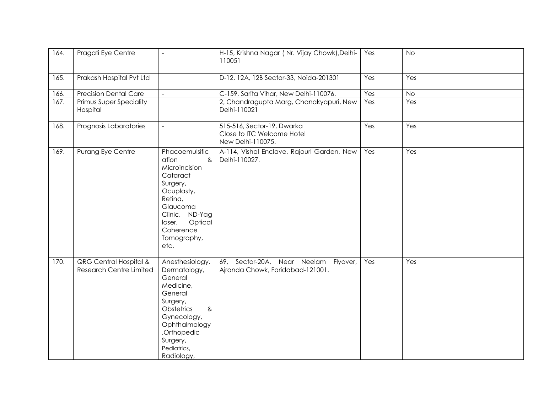| 164. | Pragati Eye Centre                                                  |                                                                                                                                                                                           | H-15, Krishna Nagar (Nr. Vijay Chowk), Delhi-<br>110051                       | Yes | <b>No</b> |  |
|------|---------------------------------------------------------------------|-------------------------------------------------------------------------------------------------------------------------------------------------------------------------------------------|-------------------------------------------------------------------------------|-----|-----------|--|
| 165. | Prakash Hospital Pvt Ltd                                            |                                                                                                                                                                                           | D-12, 12A, 12B Sector-33, Noida-201301                                        | Yes | Yes       |  |
| 166. | <b>Precision Dental Care</b>                                        |                                                                                                                                                                                           | C-159, Sarita Vihar, New Delhi-110076.                                        | Yes | <b>No</b> |  |
| 167. | Primus Super Speciality<br>Hospital                                 |                                                                                                                                                                                           | 2, Chandragupta Marg, Chanakyapuri, New<br>Delhi-110021                       | Yes | Yes       |  |
| 168. | Prognosis Laboratories                                              | $\overline{a}$                                                                                                                                                                            | 515-516, Sector-19, Dwarka<br>Close to ITC Welcome Hotel<br>New Delhi-110075. | Yes | Yes       |  |
| 169. | Purang Eye Centre                                                   | Phacoemulsific<br>ation<br>&<br>Microincision<br>Cataract<br>Surgery,<br>Ocuplasty,<br>Retina,<br>Glaucoma<br>Clinic, ND-Yag<br>Optical<br>laser,<br>Coherence<br>Tomography,<br>etc.     | A-114, Vishal Enclave, Rajouri Garden, New<br>Delhi-110027.                   | Yes | Yes       |  |
| 170. | <b>QRG Central Hospital &amp;</b><br><b>Research Centre Limited</b> | Anesthesiology,<br>Dermatology,<br>General<br>Medicine,<br>General<br>Surgery,<br>Obstetrics<br>&<br>Gynecology,<br>Ophthalmology<br>,Orthopedic<br>Surgery,<br>Pediatrics,<br>Radiology, | 69, Sector-20A, Near Neelam Flyover,<br>Ajronda Chowk, Faridabad-121001.      | Yes | Yes       |  |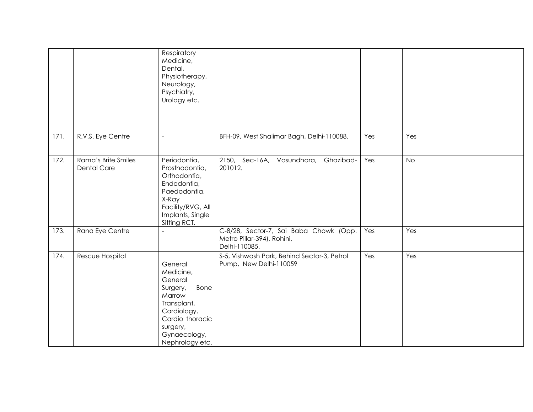|      |                                           | Respiratory<br>Medicine,<br>Dental,<br>Physiotherapy,<br>Neurology,<br>Psychiatry,<br>Urology etc.                                                            |                                                                                       |     |           |  |
|------|-------------------------------------------|---------------------------------------------------------------------------------------------------------------------------------------------------------------|---------------------------------------------------------------------------------------|-----|-----------|--|
| 171. | R.V.S. Eye Centre                         | $\overline{\phantom{a}}$                                                                                                                                      | BFH-09, West Shalimar Bagh, Delhi-110088.                                             | Yes | Yes       |  |
| 172. | Rama's Brite Smiles<br><b>Dental Care</b> | Periodontia,<br>Prosthodontia,<br>Orthodontia,<br>Endodontia,<br>Paedodontia,<br>X-Ray<br>Facility/RVG, All<br>Implants, Single<br>Sitting RCT.               | 2150, Sec-16A, Vasundhara,<br>Ghazibad-<br>201012.                                    | Yes | <b>No</b> |  |
| 173. | Rana Eye Centre                           | $\overline{a}$                                                                                                                                                | C-8/28, Sector-7, Sai Baba Chowk (Opp.<br>Metro Pillar-394), Rohini,<br>Delhi-110085. | Yes | Yes       |  |
| 174. | Rescue Hospital                           | General<br>Medicine,<br>General<br>Bone<br>Surgery,<br>Marrow<br>Transplant,<br>Cardiology,<br>Cardio thoracic<br>surgery,<br>Gynaecology,<br>Nephrology etc. | S-5, Vishwash Park, Behind Sector-3, Petrol<br>Pump, New Delhi-110059                 | Yes | Yes       |  |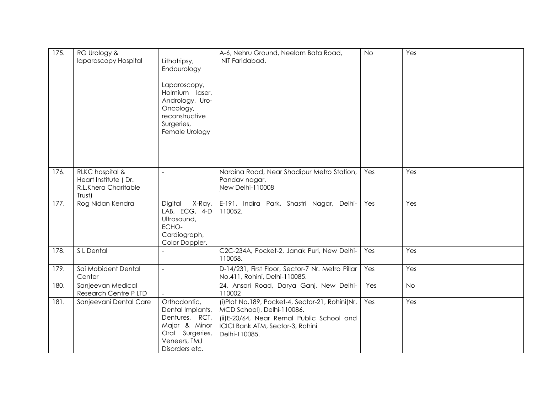| 175. | RG Urology &<br>Iaparoscopy Hospital                                      | Lithotripsy,<br>Endourology<br>Laparoscopy,<br>Holmium laser,<br>Andrology, Uro-<br>Oncology,<br>reconstructive<br>Surgeries,<br>Female Urology | A-6, Nehru Ground, Neelam Bata Road,<br>NIT Faridabad.                                                                                                                           | <b>No</b> | Yes       |  |
|------|---------------------------------------------------------------------------|-------------------------------------------------------------------------------------------------------------------------------------------------|----------------------------------------------------------------------------------------------------------------------------------------------------------------------------------|-----------|-----------|--|
| 176. | RLKC hospital &<br>Heart Institute (Dr.<br>R.L.Khera Charitable<br>Trust) | $\overline{\phantom{a}}$                                                                                                                        | Naraina Road, Near Shadipur Metro Station,<br>Pandav nagar,<br>New Delhi-110008                                                                                                  | Yes       | Yes       |  |
| 177. | Rog Nidan Kendra                                                          | Digital<br>X-Ray,<br>LAB, ECG, 4-D<br>Ultrasound,<br>ECHO-<br>Cardiograph,<br>Color Doppler.                                                    | E-191, Indira Park, Shastri Nagar, Delhi-<br>110052.                                                                                                                             | Yes       | Yes       |  |
| 178. | S L Dental                                                                |                                                                                                                                                 | C2C-234A, Pocket-2, Janak Puri, New Delhi-<br>110058.                                                                                                                            | Yes       | Yes       |  |
| 179. | Sai Mobident Dental<br>Center                                             | $\bar{a}$                                                                                                                                       | D-14/231, First Floor, Sector-7 Nr. Metro Pillar<br>No.411, Rohini, Delhi-110085.                                                                                                | Yes       | Yes       |  |
| 180. | Sanjeevan Medical<br>Research Centre P LTD                                |                                                                                                                                                 | 24, Ansari Road, Darya Ganj, New Delhi-<br>110002                                                                                                                                | Yes       | <b>No</b> |  |
| 181. | Sanjeevani Dental Care                                                    | Orthodontic,<br>Dental Implants,<br>Dentures, RCT,<br>Major & Minor<br>Oral Surgeries,<br>Veneers, TMJ<br>Disorders etc.                        | (i)Plot No.189, Pocket-4, Sector-21, Rohini(Nr,<br>MCD School), Delhi-110086.<br>(ii) E-20/64, Near Remal Public School and<br>ICICI Bank ATM, Sector-3, Rohini<br>Delhi-110085. | Yes       | Yes       |  |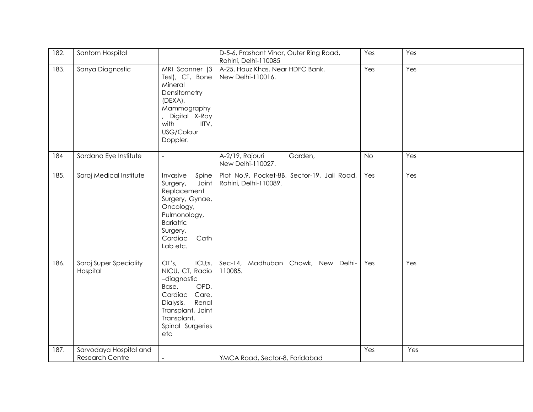| 182. | Santom Hospital                                  |                                                                                                                                                                             | D-5-6, Prashant Vihar, Outer Ring Road,<br>Rohini, Delhi-110085 |                                             | Yes       | Yes |  |
|------|--------------------------------------------------|-----------------------------------------------------------------------------------------------------------------------------------------------------------------------------|-----------------------------------------------------------------|---------------------------------------------|-----------|-----|--|
| 183. | Sanya Diagnostic                                 | MRI Scanner (3<br>Tesl), CT, Bone<br>Mineral<br>Densitometry<br>$(DEXA)$ ,<br>Mammography<br>, Digital X-Ray<br>with<br>IITV,<br>USG/Colour<br>Doppler.                     | A-25, Hauz Khas, Near HDFC Bank,<br>New Delhi-110016.           |                                             | Yes       | Yes |  |
| 184  | Sardana Eye Institute                            | $\overline{\phantom{a}}$                                                                                                                                                    | A-2/19, Rajouri<br>New Delhi-110027.                            | Garden,                                     | <b>No</b> | Yes |  |
| 185. | Saroj Medical Institute                          | Invasive<br>Spine<br>Joint<br>Surgery,<br>Replacement<br>Surgery, Gynae,<br>Oncology,<br>Pulmonology,<br><b>Bariatric</b><br>Surgery,<br>Cath<br>Cardiac<br>Lab etc.        | Rohini, Delhi-110089.                                           | Plot No.9, Pocket-8B, Sector-19, Jail Road, | Yes       | Yes |  |
| 186. | Saroj Super Speciality<br>Hospital               | OT's,<br>ICU;s,<br>NICU, CT, Radio<br>-diagnostic<br>OPD,<br>Base,<br>Care,<br>Cardiac<br>Renal<br>Dialysis,<br>Transplant, Joint<br>Transplant,<br>Spinal Surgeries<br>etc | 110085.                                                         | Sec-14, Madhuban Chowk, New Delhi-          | Yes       | Yes |  |
| 187. | Sarvodaya Hospital and<br><b>Research Centre</b> |                                                                                                                                                                             | YMCA Road, Sector-8, Faridabad                                  |                                             | Yes       | Yes |  |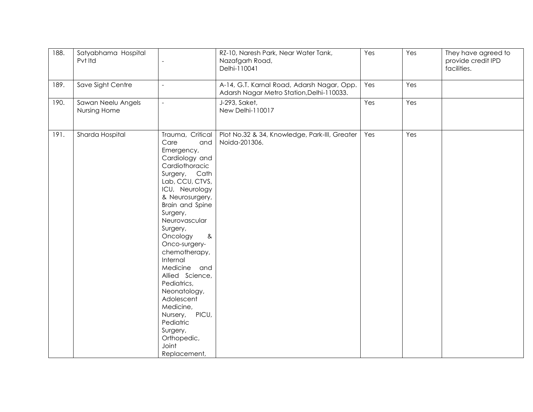| 188. | Satyabhama Hospital<br>Pvt Itd     |                                                                                                                                                                                                                                                                                                                                                                                                                                                                              | RZ-10, Naresh Park, Near Water Tank,<br>Nazafgarh Road,<br>Delhi-110041                 | Yes | Yes | They have agreed to<br>provide credit IPD<br>facilities. |
|------|------------------------------------|------------------------------------------------------------------------------------------------------------------------------------------------------------------------------------------------------------------------------------------------------------------------------------------------------------------------------------------------------------------------------------------------------------------------------------------------------------------------------|-----------------------------------------------------------------------------------------|-----|-----|----------------------------------------------------------|
| 189. | Save Sight Centre                  | $\sim$                                                                                                                                                                                                                                                                                                                                                                                                                                                                       | A-14, G.T. Karnal Road, Adarsh Nagar, Opp.<br>Adarsh Nagar Metro Station, Delhi-110033. | Yes | Yes |                                                          |
| 190. | Sawan Neelu Angels<br>Nursing Home | $\bar{a}$                                                                                                                                                                                                                                                                                                                                                                                                                                                                    | J-293, Saket,<br>New Delhi-110017                                                       | Yes | Yes |                                                          |
| 191. | Sharda Hospital                    | Trauma, Critical<br>Care<br>and<br>Emergency,<br>Cardiology and<br>Cardiothoracic<br>Surgery, Cath<br>Lab, CCU, CTVS,<br>ICU, Neurology<br>& Neurosurgery,<br>Brain and Spine<br>Surgery,<br>Neurovascular<br>Surgery,<br>Oncology<br>$8\,$<br>Onco-surgery-<br>chemotherapy,<br>Internal<br>Medicine and<br>Allied Science,<br>Pediatrics,<br>Neonatology,<br>Adolescent<br>Medicine,<br>PICU,<br>Nursery,<br>Pediatric<br>Surgery,<br>Orthopedic,<br>Joint<br>Replacement, | Plot No.32 & 34, Knowledge, Park-III, Greater<br>Noida-201306.                          | Yes | Yes |                                                          |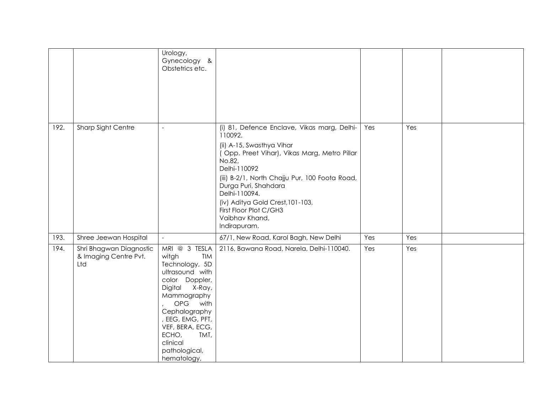|      |                                                         | Urology,<br>Gynecology &<br>Obstetrics etc.                                                                                                                                                                                                               |                                                                                                                                                                                                                                                                                                                                                          |     |     |  |
|------|---------------------------------------------------------|-----------------------------------------------------------------------------------------------------------------------------------------------------------------------------------------------------------------------------------------------------------|----------------------------------------------------------------------------------------------------------------------------------------------------------------------------------------------------------------------------------------------------------------------------------------------------------------------------------------------------------|-----|-----|--|
| 192. | Sharp Sight Centre                                      | $\overline{a}$                                                                                                                                                                                                                                            | (i) 81, Defence Enclave, Vikas marg, Delhi-<br>110092.<br>(ii) A-15, Swasthya Vihar<br>(Opp. Preet Vihar), Vikas Marg, Metro Pillar<br>No.82,<br>Delhi-110092<br>(iii) B-2/1, North Chajju Pur, 100 Foota Road,<br>Durga Puri, Shahdara<br>Delhi-110094.<br>(iv) Aditya Gold Crest, 101-103,<br>First Floor Plot C/GH3<br>Vaibhav Khand,<br>Indirapuram. | Yes | Yes |  |
| 193. | Shree Jeewan Hospital                                   | $\mathcal{L}_{\mathcal{A}}$                                                                                                                                                                                                                               | 67/1, New Road, Karol Bagh, New Delhi                                                                                                                                                                                                                                                                                                                    | Yes | Yes |  |
| 194. | Shri Bhagwan Diagnostic<br>& Imaging Centre Pvt.<br>Ltd | MRI @ 3 TESLA<br>witgh<br>TIM<br>Technology, 5D<br>ultrasound with<br>color Doppler,<br>Digital<br>X-Ray,<br>Mammography<br>OPG with<br>Cephalography<br>, EEG, EMG, PFT,<br>VEF, BERA, ECG,<br>ECHO,<br>TMT,<br>clinical<br>pathological,<br>hematology, | 2116, Bawana Road, Narela, Delhi-110040.                                                                                                                                                                                                                                                                                                                 | Yes | Yes |  |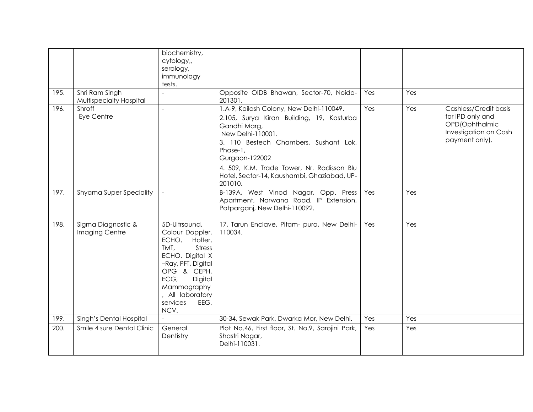|      |                                           | biochemistry,<br>cytology,,<br>serology,<br>immunology<br>tests.                                                                                                                                                        |                                                                                                                                                                                                                                                                                                           |     |     |                                                                                                        |
|------|-------------------------------------------|-------------------------------------------------------------------------------------------------------------------------------------------------------------------------------------------------------------------------|-----------------------------------------------------------------------------------------------------------------------------------------------------------------------------------------------------------------------------------------------------------------------------------------------------------|-----|-----|--------------------------------------------------------------------------------------------------------|
| 195. | Shri Ram Singh<br>Multispecialty Hospital |                                                                                                                                                                                                                         | Opposite OIDB Bhawan, Sector-70, Noida-<br>201301.                                                                                                                                                                                                                                                        | Yes | Yes |                                                                                                        |
| 196. | Shroff<br>Eye Centre                      | $\overline{a}$                                                                                                                                                                                                          | 1.A-9, Kailash Colony, New Delhi-110049.<br>2.105, Surya Kiran Building, 19, Kasturba<br>Gandhi Marg,<br>New Delhi-110001.<br>3. 110 Bestech Chambers, Sushant Lok,<br>Phase-1,<br>Gurgaon-122002<br>4. 509, K.M. Trade Tower, Nr. Radisson Blu<br>Hotel, Sector-14, Kaushambi, Ghaziabad, UP-<br>201010. | Yes | Yes | Cashless/Credit basis<br>for IPD only and<br>OPD(Ophthalmic<br>Investigation on Cash<br>payment only). |
| 197. | Shyama Super Speciality                   |                                                                                                                                                                                                                         | B-139A, West Vinod Nagar, Opp. Press<br>Apartment, Narwana Road, IP Extension,<br>Patparganj, New Delhi-110092.                                                                                                                                                                                           | Yes | Yes |                                                                                                        |
| 198. | Sigma Diagnostic &<br>Imaging Centre      | 5D-Ultrsound,<br>Colour Doppler,<br>ECHO,<br>Holter,<br><b>Stress</b><br>TMT,<br>ECHO, Digital X<br>-Ray, PFT, Digital<br>OPG & CEPH,<br>ECG,<br>Digital<br>Mammography<br>, All laboratory<br>services<br>EEG,<br>NCV. | 17, Tarun Enclave, Pitam- pura, New Delhi-<br>110034.                                                                                                                                                                                                                                                     | Yes | Yes |                                                                                                        |
| 199. | Singh's Dental Hospital                   |                                                                                                                                                                                                                         | 30-34, Sewak Park, Dwarka Mor, New Delhi.                                                                                                                                                                                                                                                                 | Yes | Yes |                                                                                                        |
| 200. | Smile 4 sure Dental Clinic                | General<br>Dentistry                                                                                                                                                                                                    | Plot No.46, First floor, St. No.9, Sarojini Park,<br>Shastri Nagar,<br>Delhi-110031.                                                                                                                                                                                                                      | Yes | Yes |                                                                                                        |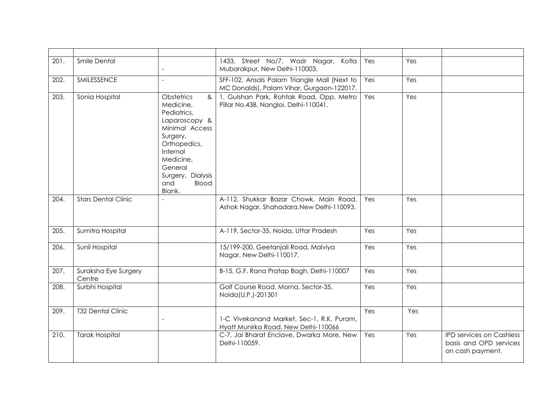| 201. | Smile Dental                   | $\overline{\phantom{a}}$                                                                                                                                                                                    | 1433, Street No/7, Wazir Nagar, Kotla<br>Mubarakpur, New Delhi-110003.                    | Yes | Yes |                                                                               |
|------|--------------------------------|-------------------------------------------------------------------------------------------------------------------------------------------------------------------------------------------------------------|-------------------------------------------------------------------------------------------|-----|-----|-------------------------------------------------------------------------------|
| 202. | SMILESSENCE                    | $\overline{a}$                                                                                                                                                                                              | SFF-102, Ansals Palam Triangle Mall (Next to<br>MC Donalds), Palam Vihar, Gurgaon-122017. | Yes | Yes |                                                                               |
| 203. | Sonia Hospital                 | <b>Obstetrics</b><br>&<br>Medicine,<br>Pediatrics,<br>Laparoscopy &<br>Minimal Access<br>Surgery,<br>Orthopedics,<br>Internal<br>Medicine,<br>General<br>Surgery, Dialysis<br>and<br><b>Blood</b><br>Blank. | 1, Gulshan Park, Rohtak Road, Opp. Metro<br>Pillar No.438, Nangloi, Delhi-110041.         | Yes | Yes |                                                                               |
| 204. | <b>Stars Dental Clinic</b>     |                                                                                                                                                                                                             | A-112, Shukkar Bazar Chowk, Main Road,<br>Ashok Nagar, Shahadara, New Delhi-110093.       | Yes | Yes |                                                                               |
| 205. | Sumitra Hospital               |                                                                                                                                                                                                             | A-119, Sector-35, Noida, Uttar Pradesh                                                    | Yes | Yes |                                                                               |
| 206. | Sunil Hospital                 |                                                                                                                                                                                                             | 15/199-200, Geetanjali Road, Malviya<br>Nagar, New Delhi-110017.                          | Yes | Yes |                                                                               |
| 207. | Suraksha Eye Surgery<br>Centre |                                                                                                                                                                                                             | B-15, G.F. Rana Pratap Bagh, Delhi-110007                                                 | Yes | Yes |                                                                               |
| 208. | Surbhi Hospital                |                                                                                                                                                                                                             | Golf Course Road, Morna, Sector-35,<br>Noida(U.P.)-201301                                 | Yes | Yes |                                                                               |
| 209. | <b>T32 Dental Clinic</b>       |                                                                                                                                                                                                             | 1-C Vivekanand Market, Sec-1, R.K. Puram,<br>Hyatt Munirka Road, New Delhi-110066         | Yes | Yes |                                                                               |
| 210. | <b>Tarak Hospital</b>          |                                                                                                                                                                                                             | C-7, Jai Bharat Enclave, Dwarka More, New<br>Delhi-110059.                                | Yes | Yes | <b>IPD services on Cashless</b><br>basis and OPD services<br>on cash payment. |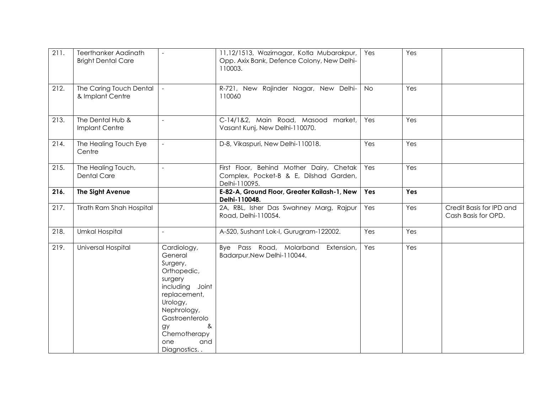| 211. | <b>Teerthanker Aadinath</b><br><b>Bright Dental Care</b> | $\overline{\phantom{a}}$                                                                                                                                                                             | 11,12/1513, Wazirnagar, Kotla Mubarakpur,<br>Opp. Axix Bank, Defence Colony, New Delhi-<br>110003.  | Yes       | Yes |                                                 |
|------|----------------------------------------------------------|------------------------------------------------------------------------------------------------------------------------------------------------------------------------------------------------------|-----------------------------------------------------------------------------------------------------|-----------|-----|-------------------------------------------------|
| 212. | The Caring Touch Dental<br>& Implant Centre              |                                                                                                                                                                                                      | R-721, New Rajinder Nagar, New Delhi-<br>110060                                                     | <b>No</b> | Yes |                                                 |
| 213. | The Dental Hub &<br>Implant Centre                       | $\mathcal{L}$                                                                                                                                                                                        | C-14/1&2, Main Road, Masood market,<br>Vasant Kunj, New Delhi-110070.                               | Yes       | Yes |                                                 |
| 214. | The Healing Touch Eye<br>Centre                          | $\sim$                                                                                                                                                                                               | D-8, Vikaspuri, New Delhi-110018.                                                                   | Yes       | Yes |                                                 |
| 215. | The Healing Touch,<br><b>Dental Care</b>                 | $\overline{\phantom{a}}$                                                                                                                                                                             | First Floor, Behind Mother Dairy, Chetak<br>Complex, Pocket-B & E, Dilshad Garden,<br>Delhi-110095. | Yes       | Yes |                                                 |
| 216. | The Sight Avenue                                         |                                                                                                                                                                                                      | E-82-A, Ground Floor, Greater Kailash-1, New<br>Delhi-110048.                                       | Yes       | Yes |                                                 |
| 217. | <b>Tirath Ram Shah Hospital</b>                          |                                                                                                                                                                                                      | 2A, RBL, Isher Das Swahney Marg, Rajpur<br>Road, Delhi-110054.                                      | Yes       | Yes | Credit Basis for IPD and<br>Cash Basis for OPD. |
| 218. | <b>Umkal Hospital</b>                                    |                                                                                                                                                                                                      | A-520, Sushant Lok-I, Gurugram-122002.                                                              | Yes       | Yes |                                                 |
| 219. | Universal Hospital                                       | Cardiology,<br>General<br>Surgery,<br>Orthopedic,<br>surgery<br>including Joint<br>replacement,<br>Urology,<br>Nephrology,<br>Gastroenterolo<br>&<br>gy<br>Chemotherapy<br>one<br>and<br>Diagnostics | Bye Pass Road, Molarband<br>Extension,<br>Badarpur, New Delhi-110044.                               | Yes       | Yes |                                                 |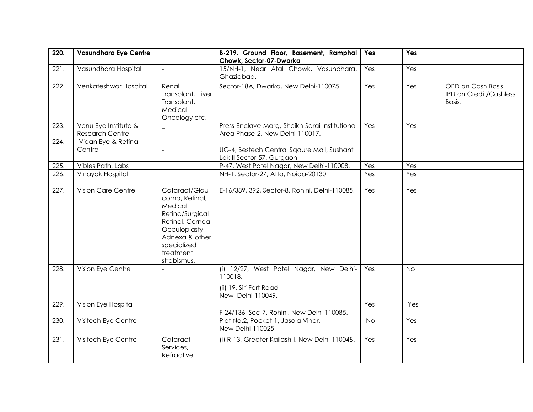| 220. | <b>Vasundhara Eye Centre</b>                   |                                                                                                                                                                 | B-219, Ground Floor, Basement, Ramphal<br>Chowk, Sector-07-Dwarka                                  | Yes       | Yes       |                                                               |
|------|------------------------------------------------|-----------------------------------------------------------------------------------------------------------------------------------------------------------------|----------------------------------------------------------------------------------------------------|-----------|-----------|---------------------------------------------------------------|
| 221. | Vasundhara Hospital                            |                                                                                                                                                                 | 15/NH-1, Near Atal Chowk, Vasundhara,<br>Ghaziabad.                                                | Yes       | Yes       |                                                               |
| 222. | Venkateshwar Hospital                          | Renal<br>Transplant, Liver<br>Transplant,<br>Medical<br>Oncology etc.                                                                                           | Sector-18A, Dwarka, New Delhi-110075                                                               | Yes       | Yes       | OPD on Cash Basis.<br><b>IPD on Credit/Cashless</b><br>Basis. |
| 223. | Venu Eye Institute &<br><b>Research Centre</b> | $\equiv$                                                                                                                                                        | Press Enclave Marg, Sheikh Sarai Institutional<br>Area Phase-2, New Delhi-110017.                  | Yes       | Yes       |                                                               |
| 224. | Viaan Eye & Retina<br>Centre                   |                                                                                                                                                                 | UG-4, Bestech Central Sqaure Mall, Sushant<br>Lok-II Sector-57, Gurgaon                            |           |           |                                                               |
| 225. | Vibles Path. Labs                              |                                                                                                                                                                 | P-47, West Patel Nagar, New Delhi-110008.                                                          | Yes       | Yes       |                                                               |
| 226. | Vinayak Hospital                               |                                                                                                                                                                 | NH-1, Sector-27, Atta, Noida-201301                                                                | Yes       | Yes       |                                                               |
| 227. | Vision Care Centre                             | Cataract/Glau<br>coma, Retinal,<br>Medical<br>Retina/Surgical<br>Retinal, Cornea,<br>Occuloplasty,<br>Adnexa & other<br>specialized<br>treatment<br>strabismus. | E-16/389, 392, Sector-8, Rohini, Delhi-110085.                                                     | Yes       | Yes       |                                                               |
| 228. | Vision Eye Centre                              |                                                                                                                                                                 | (i) 12/27, West Patel Nagar, New Delhi-<br>110018.<br>(ii) 19, Siri Fort Road<br>New Delhi-110049. | Yes       | <b>No</b> |                                                               |
| 229. | Vision Eye Hospital                            |                                                                                                                                                                 | F-24/136, Sec-7, Rohini, New Delhi-110085.                                                         | Yes       | Yes       |                                                               |
| 230. | Visitech Eye Centre                            |                                                                                                                                                                 | Plot No.2, Pocket-1, Jasola Vihar,<br>New Delhi-110025                                             | <b>No</b> | Yes       |                                                               |
| 231. | Visitech Eye Centre                            | Cataract<br>Services,<br>Refractive                                                                                                                             | (i) R-13, Greater Kailash-I, New Delhi-110048.                                                     | Yes       | Yes       |                                                               |